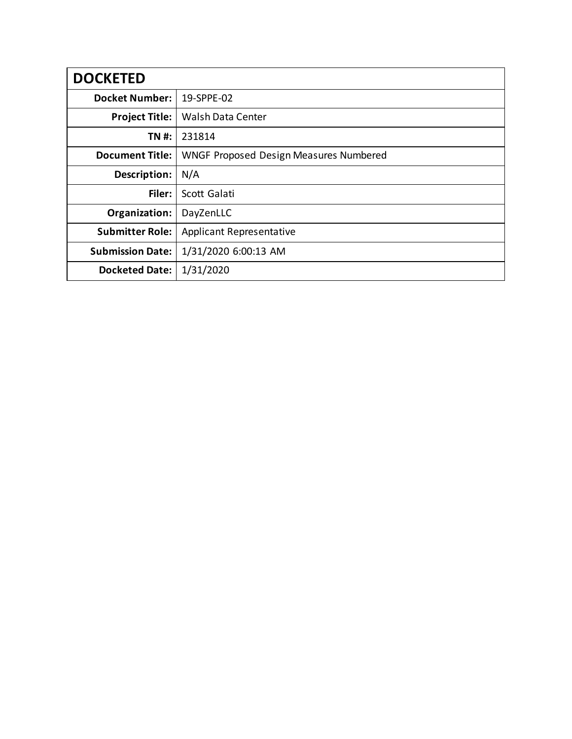| <b>DOCKETED</b>         |                                               |
|-------------------------|-----------------------------------------------|
| <b>Docket Number:</b>   | 19-SPPE-02                                    |
| <b>Project Title:</b>   | <b>Walsh Data Center</b>                      |
| TN #:                   | 231814                                        |
| <b>Document Title:</b>  | <b>WNGF Proposed Design Measures Numbered</b> |
| Description:            | N/A                                           |
| Filer:                  | Scott Galati                                  |
| Organization:           | DayZenLLC                                     |
| <b>Submitter Role:</b>  | <b>Applicant Representative</b>               |
| <b>Submission Date:</b> | 1/31/2020 6:00:13 AM                          |
| <b>Docketed Date:</b>   | 1/31/2020                                     |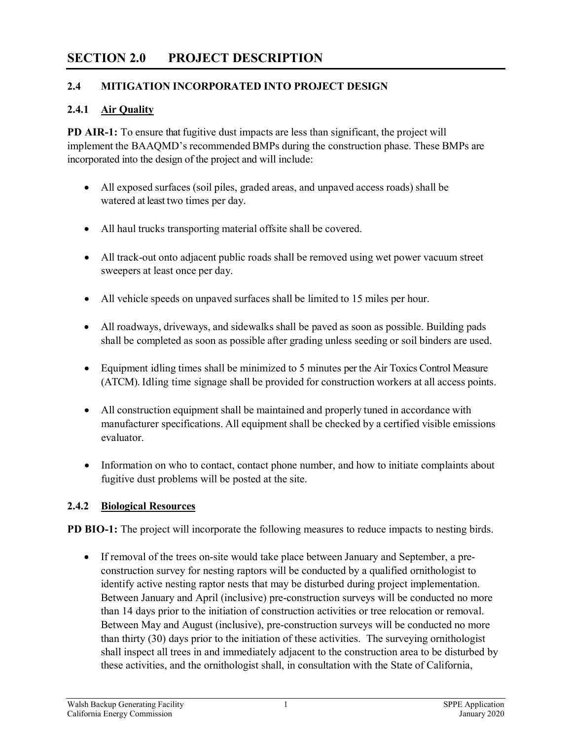# **SECTION 2.0 PROJECT DESCRIPTION**

#### **2.4 MITIGATION INCORPORATED INTO PROJECT DESIGN**

#### **2.4.1 Air Quality**

**PD AIR-1:** To ensure that fugitive dust impacts are less than significant, the project will implement the BAAQMD's recommended BMPs during the construction phase. These BMPs are incorporated into the design of the project and will include:

- All exposed surfaces (soil piles, graded areas, and unpaved access roads) shall be watered at least two times per day.
- All haul trucks transporting material offsite shall be covered.
- All track-out onto adjacent public roads shall be removed using wet power vacuum street sweepers at least once per day.
- All vehicle speeds on unpaved surfaces shall be limited to 15 miles per hour.
- All roadways, driveways, and sidewalks shall be paved as soon as possible. Building pads shall be completed as soon as possible after grading unless seeding or soil binders are used.
- Equipment idling times shall be minimized to 5 minutes per the Air Toxics Control Measure (ATCM). Idling time signage shall be provided for construction workers at all access points.
- All construction equipment shall be maintained and properly tuned in accordance with manufacturer specifications. All equipment shall be checked by a certified visible emissions evaluator.
- Information on who to contact, contact phone number, and how to initiate complaints about fugitive dust problems will be posted at the site.

#### **2.4.2 Biological Resources**

**PD BIO-1:** The project will incorporate the following measures to reduce impacts to nesting birds.

• If removal of the trees on-site would take place between January and September, a preconstruction survey for nesting raptors will be conducted by a qualified ornithologist to identify active nesting raptor nests that may be disturbed during project implementation. Between January and April (inclusive) pre-construction surveys will be conducted no more than 14 days prior to the initiation of construction activities or tree relocation or removal. Between May and August (inclusive), pre-construction surveys will be conducted no more than thirty (30) days prior to the initiation of these activities. The surveying ornithologist shall inspect all trees in and immediately adjacent to the construction area to be disturbed by these activities, and the ornithologist shall, in consultation with the State of California,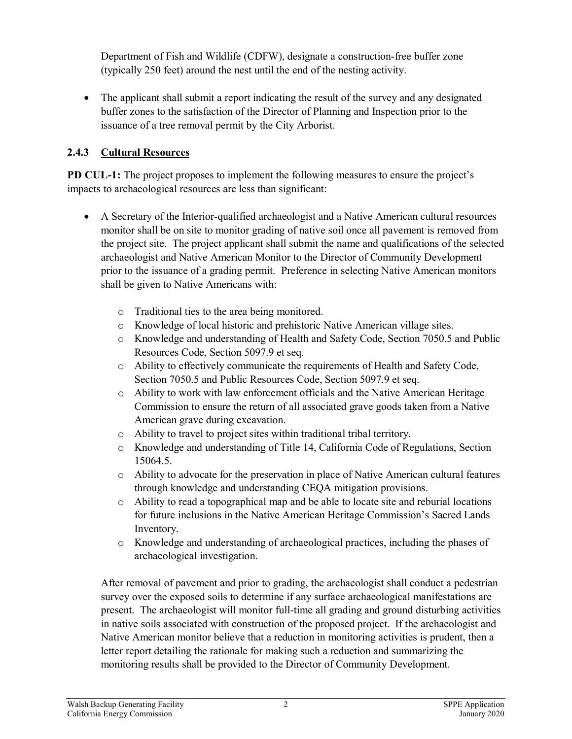Department of Fish and Wildlife (CDFW), designate a construction-free buffer zone (typically 250 feet) around the nest until the end of the nesting activity.

• The applicant shall submit a report indicating the result of the survey and any designated buffer zones to the satisfaction of the Director of Planning and Inspection prior to the issuance of a tree removal permit by the City Arborist.

### **2.4.3 Cultural Resources**

**PD CUL-1:** The project proposes to implement the following measures to ensure the project's impacts to archaeological resources are less than significant:

- A Secretary of the Interior-qualified archaeologist and a Native American cultural resources monitor shall be on site to monitor grading of native soil once all pavement is removed from the project site. The project applicant shall submit the name and qualifications of the selected archaeologist and Native American Monitor to the Director of Community Development prior to the issuance of a grading permit. Preference in selecting Native American monitors shall be given to Native Americans with:
	- o Traditional ties to the area being monitored.
	- o Knowledge of local historic and prehistoric Native American village sites.
	- o Knowledge and understanding of Health and Safety Code, Section 7050.5 and Public Resources Code, Section 5097.9 et seq.
	- o Ability to effectively communicate the requirements of Health and Safety Code, Section 7050.5 and Public Resources Code, Section 5097.9 et seq.
	- o Ability to work with law enforcement officials and the Native American Heritage Commission to ensure the return of all associated grave goods taken from a Native American grave during excavation.
	- o Ability to travel to project sites within traditional tribal territory.
	- o Knowledge and understanding of Title 14, California Code of Regulations, Section 15064.5.
	- o Ability to advocate for the preservation in place of Native American cultural features through knowledge and understanding CEQA mitigation provisions.
	- $\circ$  Ability to read a topographical map and be able to locate site and reburial locations for future inclusions in the Native American Heritage Commission's Sacred Lands Inventory.
	- o Knowledge and understanding of archaeological practices, including the phases of archaeological investigation.

After removal of pavement and prior to grading, the archaeologist shall conduct a pedestrian survey over the exposed soils to determine if any surface archaeological manifestations are present. The archaeologist will monitor full‐time all grading and ground disturbing activities in native soils associated with construction of the proposed project. If the archaeologist and Native American monitor believe that a reduction in monitoring activities is prudent, then a letter report detailing the rationale for making such a reduction and summarizing the monitoring results shall be provided to the Director of Community Development.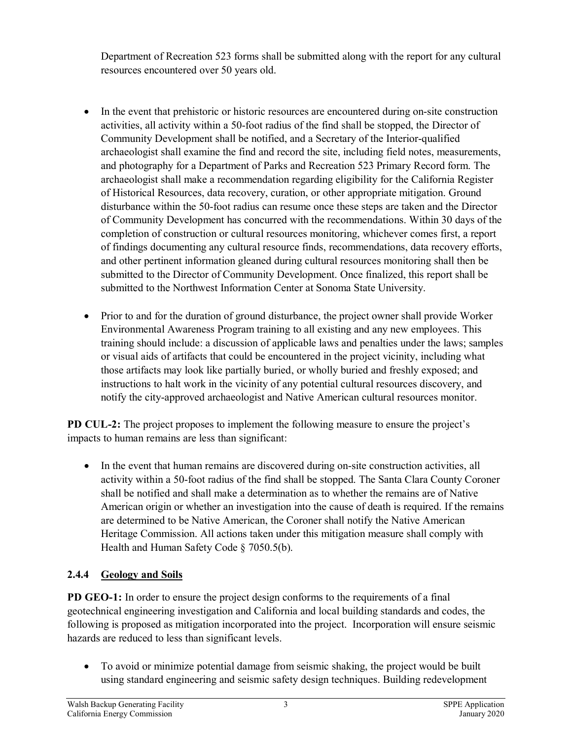Department of Recreation 523 forms shall be submitted along with the report for any cultural resources encountered over 50 years old.

- In the event that prehistoric or historic resources are encountered during on-site construction activities, all activity within a 50‐foot radius of the find shall be stopped, the Director of Community Development shall be notified, and a Secretary of the Interior‐qualified archaeologist shall examine the find and record the site, including field notes, measurements, and photography for a Department of Parks and Recreation 523 Primary Record form. The archaeologist shall make a recommendation regarding eligibility for the California Register of Historical Resources, data recovery, curation, or other appropriate mitigation. Ground disturbance within the 50‐foot radius can resume once these steps are taken and the Director of Community Development has concurred with the recommendations. Within 30 days of the completion of construction or cultural resources monitoring, whichever comes first, a report of findings documenting any cultural resource finds, recommendations, data recovery efforts, and other pertinent information gleaned during cultural resources monitoring shall then be submitted to the Director of Community Development. Once finalized, this report shall be submitted to the Northwest Information Center at Sonoma State University.
- Prior to and for the duration of ground disturbance, the project owner shall provide Worker Environmental Awareness Program training to all existing and any new employees. This training should include: a discussion of applicable laws and penalties under the laws; samples or visual aids of artifacts that could be encountered in the project vicinity, including what those artifacts may look like partially buried, or wholly buried and freshly exposed; and instructions to halt work in the vicinity of any potential cultural resources discovery, and notify the city‐approved archaeologist and Native American cultural resources monitor.

**PD CUL-2:** The project proposes to implement the following measure to ensure the project's impacts to human remains are less than significant:

• In the event that human remains are discovered during on-site construction activities, all activity within a 50‐foot radius of the find shall be stopped. The Santa Clara County Coroner shall be notified and shall make a determination as to whether the remains are of Native American origin or whether an investigation into the cause of death is required. If the remains are determined to be Native American, the Coroner shall notify the Native American Heritage Commission. All actions taken under this mitigation measure shall comply with Health and Human Safety Code § 7050.5(b).

### **2.4.4 Geology and Soils**

**PD GEO-1:** In order to ensure the project design conforms to the requirements of a final geotechnical engineering investigation and California and local building standards and codes, the following is proposed as mitigation incorporated into the project. Incorporation will ensure seismic hazards are reduced to less than significant levels.

• To avoid or minimize potential damage from seismic shaking, the project would be built using standard engineering and seismic safety design techniques. Building redevelopment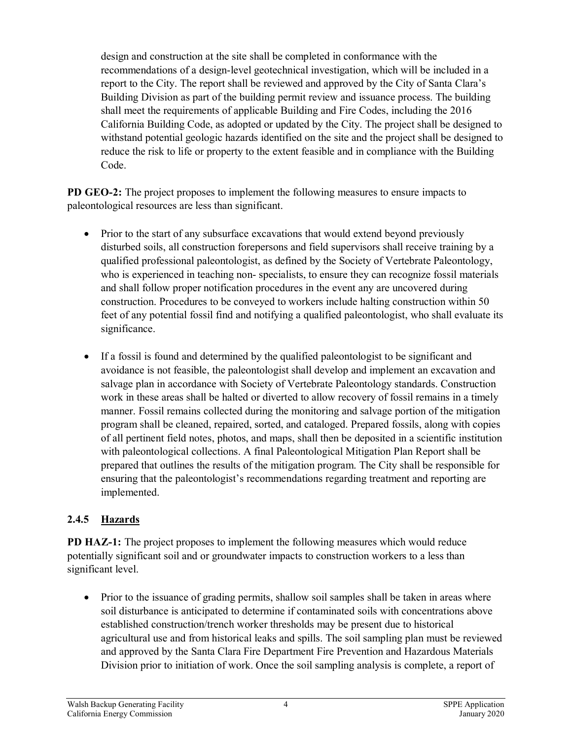design and construction at the site shall be completed in conformance with the recommendations of a design-level geotechnical investigation, which will be included in a report to the City. The report shall be reviewed and approved by the City of Santa Clara's Building Division as part of the building permit review and issuance process. The building shall meet the requirements of applicable Building and Fire Codes, including the 2016 California Building Code, as adopted or updated by the City. The project shall be designed to withstand potential geologic hazards identified on the site and the project shall be designed to reduce the risk to life or property to the extent feasible and in compliance with the Building Code.

**PD GEO-2:** The project proposes to implement the following measures to ensure impacts to paleontological resources are less than significant.

- Prior to the start of any subsurface excavations that would extend beyond previously disturbed soils, all construction forepersons and field supervisors shall receive training by a qualified professional paleontologist, as defined by the Society of Vertebrate Paleontology, who is experienced in teaching non- specialists, to ensure they can recognize fossil materials and shall follow proper notification procedures in the event any are uncovered during construction. Procedures to be conveyed to workers include halting construction within 50 feet of any potential fossil find and notifying a qualified paleontologist, who shall evaluate its significance.
- If a fossil is found and determined by the qualified paleontologist to be significant and avoidance is not feasible, the paleontologist shall develop and implement an excavation and salvage plan in accordance with Society of Vertebrate Paleontology standards. Construction work in these areas shall be halted or diverted to allow recovery of fossil remains in a timely manner. Fossil remains collected during the monitoring and salvage portion of the mitigation program shall be cleaned, repaired, sorted, and cataloged. Prepared fossils, along with copies of all pertinent field notes, photos, and maps, shall then be deposited in a scientific institution with paleontological collections. A final Paleontological Mitigation Plan Report shall be prepared that outlines the results of the mitigation program. The City shall be responsible for ensuring that the paleontologist's recommendations regarding treatment and reporting are implemented.

### **2.4.5 Hazards**

**PD HAZ-1:** The project proposes to implement the following measures which would reduce potentially significant soil and or groundwater impacts to construction workers to a less than significant level.

• Prior to the issuance of grading permits, shallow soil samples shall be taken in areas where soil disturbance is anticipated to determine if contaminated soils with concentrations above established construction/trench worker thresholds may be present due to historical agricultural use and from historical leaks and spills. The soil sampling plan must be reviewed and approved by the Santa Clara Fire Department Fire Prevention and Hazardous Materials Division prior to initiation of work. Once the soil sampling analysis is complete, a report of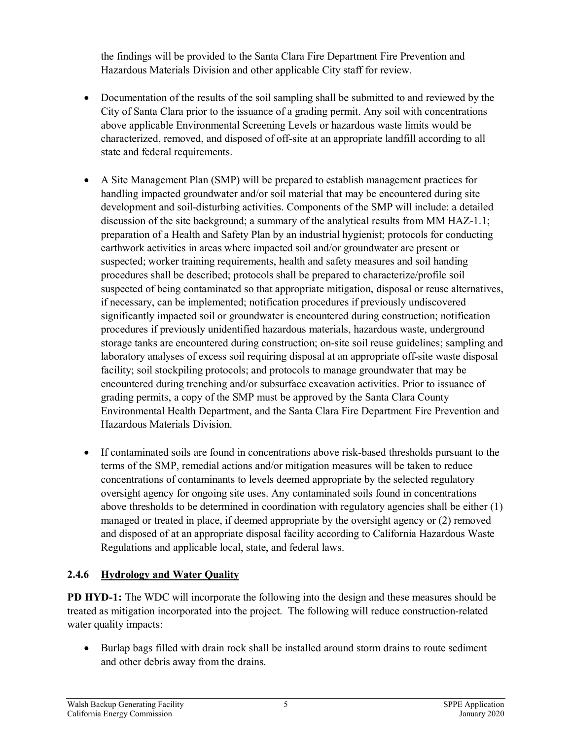the findings will be provided to the Santa Clara Fire Department Fire Prevention and Hazardous Materials Division and other applicable City staff for review.

- Documentation of the results of the soil sampling shall be submitted to and reviewed by the City of Santa Clara prior to the issuance of a grading permit. Any soil with concentrations above applicable Environmental Screening Levels or hazardous waste limits would be characterized, removed, and disposed of off-site at an appropriate landfill according to all state and federal requirements.
- A Site Management Plan (SMP) will be prepared to establish management practices for handling impacted groundwater and/or soil material that may be encountered during site development and soil-disturbing activities. Components of the SMP will include: a detailed discussion of the site background; a summary of the analytical results from MM HAZ-1.1; preparation of a Health and Safety Plan by an industrial hygienist; protocols for conducting earthwork activities in areas where impacted soil and/or groundwater are present or suspected; worker training requirements, health and safety measures and soil handing procedures shall be described; protocols shall be prepared to characterize/profile soil suspected of being contaminated so that appropriate mitigation, disposal or reuse alternatives, if necessary, can be implemented; notification procedures if previously undiscovered significantly impacted soil or groundwater is encountered during construction; notification procedures if previously unidentified hazardous materials, hazardous waste, underground storage tanks are encountered during construction; on-site soil reuse guidelines; sampling and laboratory analyses of excess soil requiring disposal at an appropriate off-site waste disposal facility; soil stockpiling protocols; and protocols to manage groundwater that may be encountered during trenching and/or subsurface excavation activities. Prior to issuance of grading permits, a copy of the SMP must be approved by the Santa Clara County Environmental Health Department, and the Santa Clara Fire Department Fire Prevention and Hazardous Materials Division.
- If contaminated soils are found in concentrations above risk-based thresholds pursuant to the terms of the SMP, remedial actions and/or mitigation measures will be taken to reduce concentrations of contaminants to levels deemed appropriate by the selected regulatory oversight agency for ongoing site uses. Any contaminated soils found in concentrations above thresholds to be determined in coordination with regulatory agencies shall be either (1) managed or treated in place, if deemed appropriate by the oversight agency or (2) removed and disposed of at an appropriate disposal facility according to California Hazardous Waste Regulations and applicable local, state, and federal laws.

## **2.4.6 Hydrology and Water Quality**

**PD HYD-1:** The WDC will incorporate the following into the design and these measures should be treated as mitigation incorporated into the project. The following will reduce construction-related water quality impacts:

• Burlap bags filled with drain rock shall be installed around storm drains to route sediment and other debris away from the drains.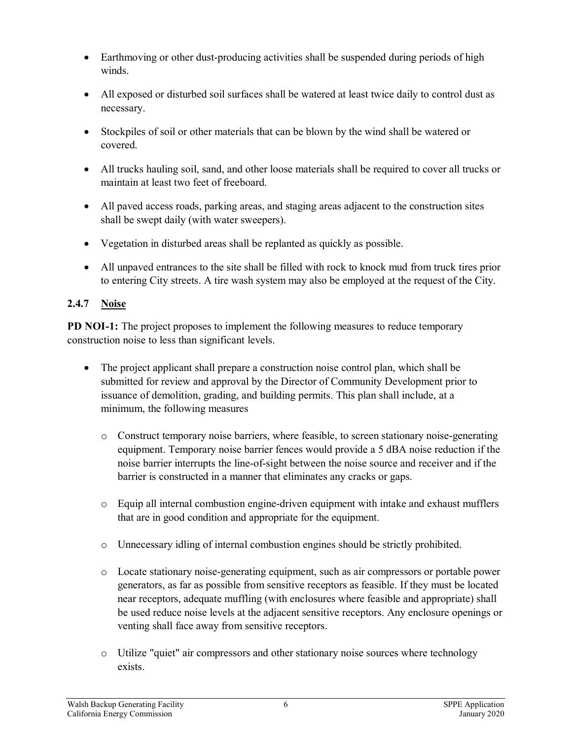- Earthmoving or other dust-producing activities shall be suspended during periods of high winds.
- All exposed or disturbed soil surfaces shall be watered at least twice daily to control dust as necessary.
- Stockpiles of soil or other materials that can be blown by the wind shall be watered or covered.
- All trucks hauling soil, sand, and other loose materials shall be required to cover all trucks or maintain at least two feet of freeboard.
- All paved access roads, parking areas, and staging areas adjacent to the construction sites shall be swept daily (with water sweepers).
- Vegetation in disturbed areas shall be replanted as quickly as possible.
- All unpaved entrances to the site shall be filled with rock to knock mud from truck tires prior to entering City streets. A tire wash system may also be employed at the request of the City.

#### **2.4.7 Noise**

**PD NOI-1:** The project proposes to implement the following measures to reduce temporary construction noise to less than significant levels.

- The project applicant shall prepare a construction noise control plan, which shall be submitted for review and approval by the Director of Community Development prior to issuance of demolition, grading, and building permits. This plan shall include, at a minimum, the following measures
	- o Construct temporary noise barriers, where feasible, to screen stationary noise-generating equipment. Temporary noise barrier fences would provide a 5 dBA noise reduction if the noise barrier interrupts the line-of-sight between the noise source and receiver and if the barrier is constructed in a manner that eliminates any cracks or gaps.
	- o Equip all internal combustion engine-driven equipment with intake and exhaust mufflers that are in good condition and appropriate for the equipment.
	- o Unnecessary idling of internal combustion engines should be strictly prohibited.
	- o Locate stationary noise-generating equipment, such as air compressors or portable power generators, as far as possible from sensitive receptors as feasible. If they must be located near receptors, adequate muffling (with enclosures where feasible and appropriate) shall be used reduce noise levels at the adjacent sensitive receptors. Any enclosure openings or venting shall face away from sensitive receptors.
	- o Utilize "quiet" air compressors and other stationary noise sources where technology exists.